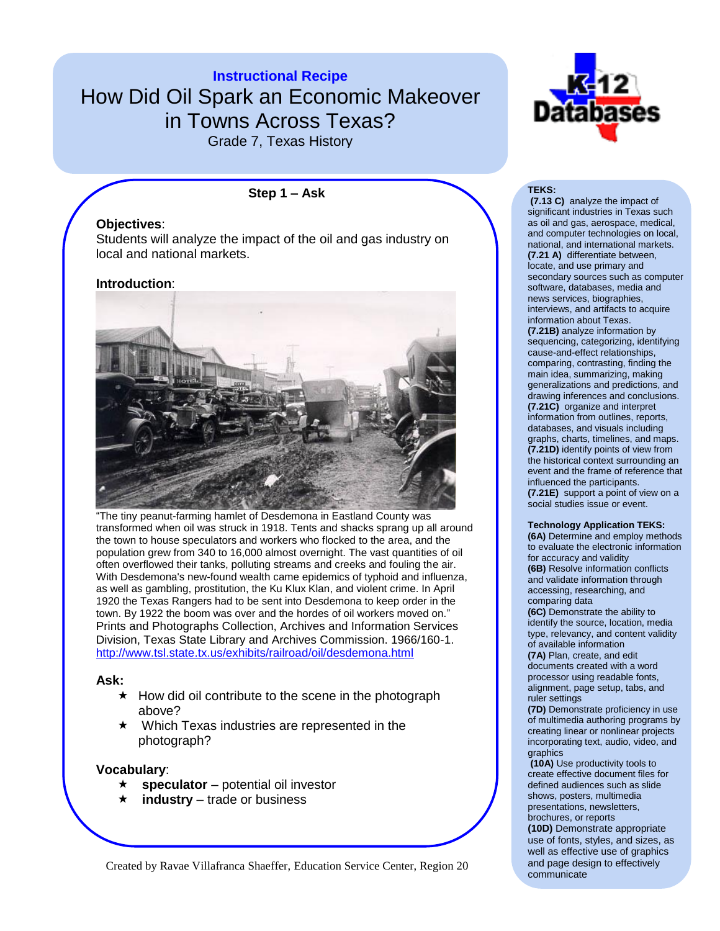**Instructional Recipe** How Did Oil Spark an Economic Makeover in Towns Across Texas?

Grade 7, Texas History

**Step 1 – Ask**

## **Objectives**:

Students will analyze the impact of the oil and gas industry on local and national markets.

#### **Introduction**:



"The tiny peanut-farming hamlet of Desdemona in Eastland County was transformed when oil was struck in 1918. Tents and shacks sprang up all around the town to house speculators and workers who flocked to the area, and the population grew from 340 to 16,000 almost overnight. The vast quantities of oil often overflowed their tanks, polluting streams and creeks and fouling the air. With Desdemona's new-found wealth came epidemics of typhoid and influenza, as well as gambling, prostitution, the Ku Klux Klan, and violent crime. In April 1920 the Texas Rangers had to be sent into Desdemona to keep order in the town. By 1922 the boom was over and the hordes of oil workers moved on." Prints and Photographs Collection, Archives and Information Services Division, Texas State Library and Archives Commission. 1966/160-1. <http://www.tsl.state.tx.us/exhibits/railroad/oil/desdemona.html>

### **Ask:**

- $\star$  How did oil contribute to the scene in the photograph above?
- Which Texas industries are represented in the photograph?

### **Vocabulary**:

- **speculator** potential oil investor
- **industry** trade or business

Created by Ravae Villafranca Shaeffer, Education Service Center, Region 20



#### **TEKS:**

**(7.13 C)** analyze the impact of significant industries in Texas such as oil and gas, aerospace, medical, and computer technologies on local, national, and international markets. **(7.21 A)** differentiate between, locate, and use primary and secondary sources such as computer software, databases, media and news services, biographies, interviews, and artifacts to acquire information about Texas. **(7.21B)** analyze information by sequencing, categorizing, identifying cause-and-effect relationships, comparing, contrasting, finding the main idea, summarizing, making generalizations and predictions, and drawing inferences and conclusions. **(7.21C)** organize and interpret information from outlines, reports, databases, and visuals including graphs, charts, timelines, and maps. **(7.21D)** identify points of view from the historical context surrounding an event and the frame of reference that influenced the participants. **(7.21E)** support a point of view on a social studies issue or event.

#### **Technology Application TEKS:**

**(6A)** Determine and employ methods to evaluate the electronic information for accuracy and validity **(6B)** Resolve information conflicts and validate information through accessing, researching, and comparing data **(6C)** Demonstrate the ability to identify the source, location, media type, relevancy, and content validity of available information **(7A)** Plan, create, and edit

documents created with a word processor using readable fonts, alignment, page setup, tabs, and ruler settings

**(7D)** Demonstrate proficiency in use of multimedia authoring programs by creating linear or nonlinear projects incorporating text, audio, video, and graphics

**(10A)** Use productivity tools to create effective document files for defined audiences such as slide shows, posters, multimedia presentations, newsletters, brochures, or reports

**(10D)** Demonstrate appropriate use of fonts, styles, and sizes, as well as effective use of graphics and page design to effectively communicate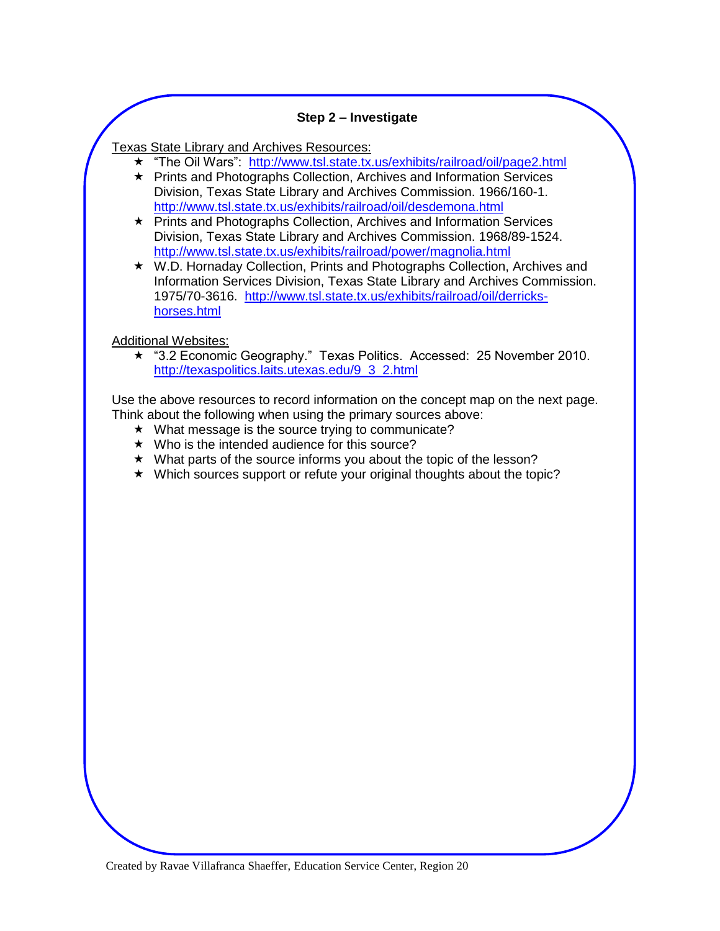## **Step 2 – Investigate**

Texas State Library and Archives Resources:

- \* "The Oil Wars": <http://www.tsl.state.tx.us/exhibits/railroad/oil/page2.html>
- Prints and Photographs Collection, Archives and Information Services Division, Texas State Library and Archives Commission. 1966/160-1. <http://www.tsl.state.tx.us/exhibits/railroad/oil/desdemona.html>
- \* Prints and Photographs Collection, Archives and Information Services Division, Texas State Library and Archives Commission. 1968/89-1524. <http://www.tsl.state.tx.us/exhibits/railroad/power/magnolia.html>
- ★ W.D. Hornaday Collection, Prints and Photographs Collection, Archives and Information Services Division, Texas State Library and Archives Commission. 1975/70-3616. [http://www.tsl.state.tx.us/exhibits/railroad/oil/derricks](http://www.tsl.state.tx.us/exhibits/railroad/oil/derricks-horses.html)[horses.html](http://www.tsl.state.tx.us/exhibits/railroad/oil/derricks-horses.html)

Additional Websites:

★ "3.2 Economic Geography." Texas Politics. Accessed: 25 November 2010. [http://texaspolitics.laits.utexas.edu/9\\_3\\_2.html](http://texaspolitics.laits.utexas.edu/9_3_2.html)

Use the above resources to record information on the concept map on the next page. Think about the following when using the primary sources above:

- $\star$  What message is the source trying to communicate?
- $\star$  Who is the intended audience for this source?
- $\star$  What parts of the source informs you about the topic of the lesson?
- $\star$  Which sources support or refute your original thoughts about the topic?

Created by Ravae Villafranca Shaeffer, Education Service Center, Region 20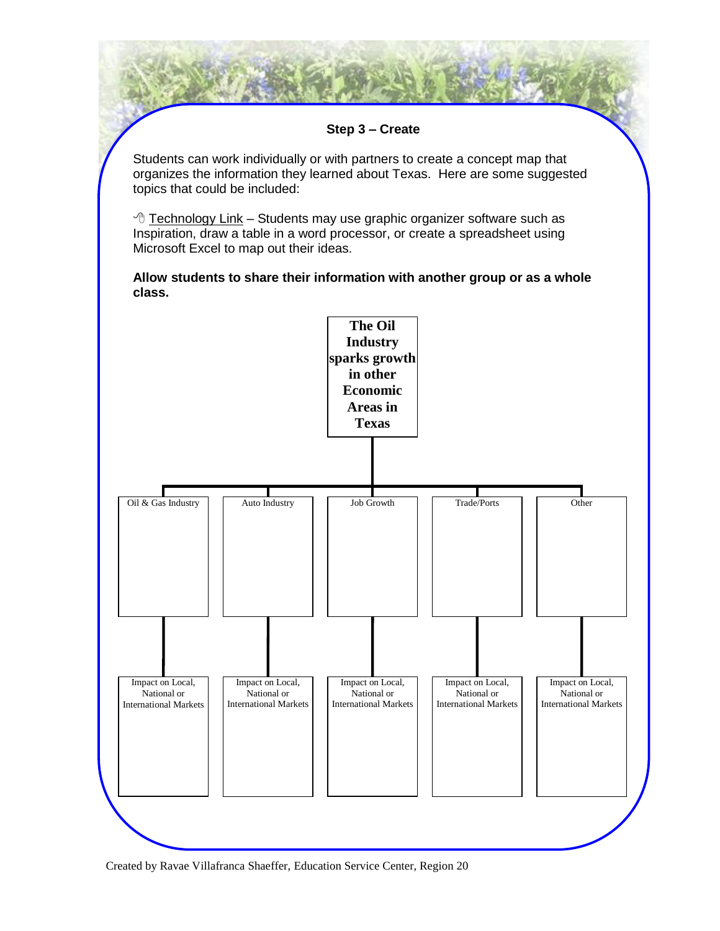

Created by Ravae Villafranca Shaeffer, Education Service Center, Region 20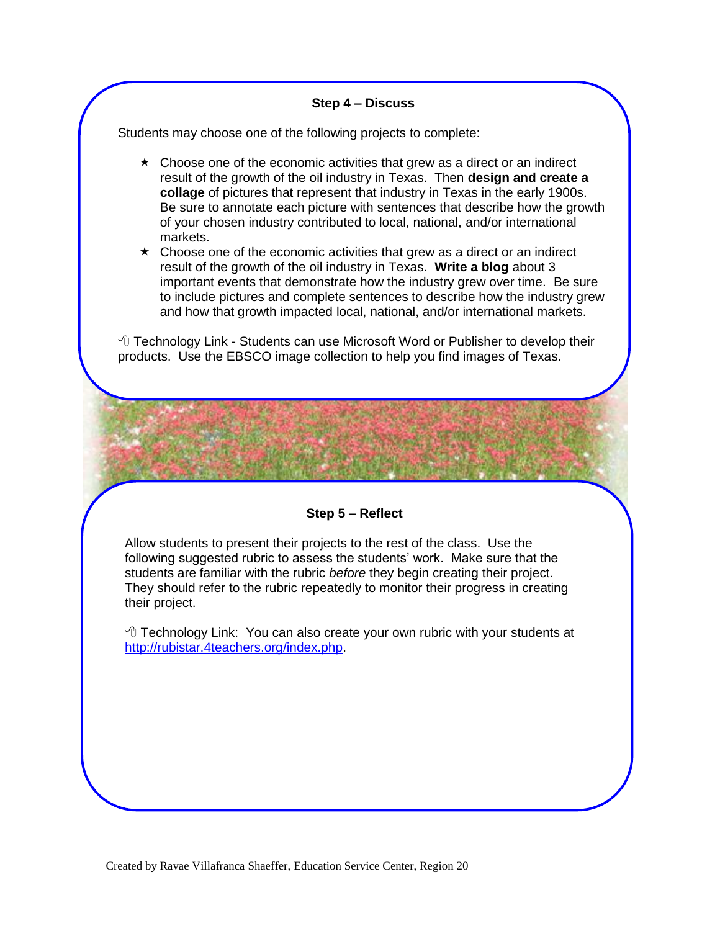## **Step 4 – Discuss**

Students may choose one of the following projects to complete:

 $\star$  Choose one of the economic activities that grew as a direct or an indirect result of the growth of the oil industry in Texas. Then **design and create a collage** of pictures that represent that industry in Texas in the early 1900s. Be sure to annotate each picture with sentences that describe how the growth of your chosen industry contributed to local, national, and/or international markets.

 $\star$  Choose one of the economic activities that grew as a direct or an indirect result of the growth of the oil industry in Texas. **Write a blog** about 3 important events that demonstrate how the industry grew over time. Be sure to include pictures and complete sentences to describe how the industry grew and how that growth impacted local, national, and/or international markets.

 Technology Link - Students can use Microsoft Word or Publisher to develop their products. Use the EBSCO image collection to help you find images of Texas.

## **Step 5 – Reflect**

Allow students to present their projects to the rest of the class. Use the following suggested rubric to assess the students' work. Make sure that the students are familiar with the rubric *before* they begin creating their project. They should refer to the rubric repeatedly to monitor their progress in creating their project.

 $\sqrt{2}$  Technology Link: You can also create your own rubric with your students at [http://rubistar.4teachers.org/index.php.](http://rubistar.4teachers.org/index.php)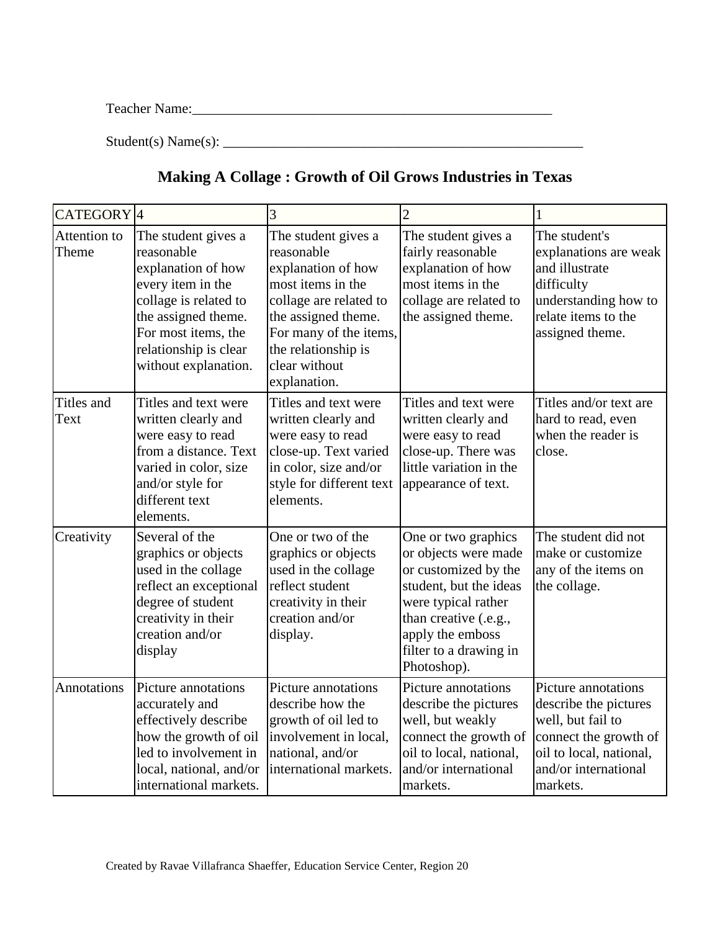Teacher Name:\_\_\_\_\_\_\_\_\_\_\_\_\_\_\_\_\_\_\_\_\_\_\_\_\_\_\_\_\_\_\_\_\_\_\_\_\_\_\_\_\_\_\_\_\_\_\_\_\_\_\_

 $Student(s) Name(s): \n\frac{1}{s}$ 

# **Making A Collage : Growth of Oil Grows Industries in Texas**

| CATEGORY <sup>4</sup> |                                                                                                                                                                                                      | 3                                                                                                                                                                                                               | $\overline{2}$                                                                                                                                                                                             | 1                                                                                                                                                         |
|-----------------------|------------------------------------------------------------------------------------------------------------------------------------------------------------------------------------------------------|-----------------------------------------------------------------------------------------------------------------------------------------------------------------------------------------------------------------|------------------------------------------------------------------------------------------------------------------------------------------------------------------------------------------------------------|-----------------------------------------------------------------------------------------------------------------------------------------------------------|
| Attention to<br>Theme | The student gives a<br>reasonable<br>explanation of how<br>every item in the<br>collage is related to<br>the assigned theme.<br>For most items, the<br>relationship is clear<br>without explanation. | The student gives a<br>reasonable<br>explanation of how<br>most items in the<br>collage are related to<br>the assigned theme.<br>For many of the items,<br>the relationship is<br>clear without<br>explanation. | The student gives a<br>fairly reasonable<br>explanation of how<br>most items in the<br>collage are related to<br>the assigned theme.                                                                       | The student's<br>explanations are weak<br>and illustrate<br>difficulty<br>understanding how to<br>relate items to the<br>assigned theme.                  |
| Titles and<br>Text    | Titles and text were<br>written clearly and<br>were easy to read<br>from a distance. Text<br>varied in color, size<br>and/or style for<br>different text<br>elements.                                | Titles and text were<br>written clearly and<br>were easy to read<br>close-up. Text varied<br>in color, size and/or<br>style for different text<br>elements.                                                     | Titles and text were<br>written clearly and<br>were easy to read<br>close-up. There was<br>little variation in the<br>appearance of text.                                                                  | Titles and/or text are<br>hard to read, even<br>when the reader is<br>close.                                                                              |
| Creativity            | Several of the<br>graphics or objects<br>used in the collage<br>reflect an exceptional<br>degree of student<br>creativity in their<br>creation and/or<br>display                                     | One or two of the<br>graphics or objects<br>used in the collage<br>reflect student<br>creativity in their<br>creation and/or<br>display.                                                                        | One or two graphics<br>or objects were made<br>or customized by the<br>student, but the ideas<br>were typical rather<br>than creative (.e.g.,<br>apply the emboss<br>filter to a drawing in<br>Photoshop). | The student did not<br>make or customize<br>any of the items on<br>the collage.                                                                           |
| Annotations           | Picture annotations<br>accurately and<br>effectively describe<br>how the growth of oil<br>led to involvement in<br>local, national, and/or<br>international markets.                                 | Picture annotations<br>describe how the<br>growth of oil led to<br>involvement in local,<br>national, and/or<br>international markets.                                                                          | Picture annotations<br>describe the pictures<br>well, but weakly<br>connect the growth of<br>oil to local, national,<br>and/or international<br>markets.                                                   | Picture annotations<br>describe the pictures<br>well, but fail to<br>connect the growth of<br>oil to local, national,<br>and/or international<br>markets. |